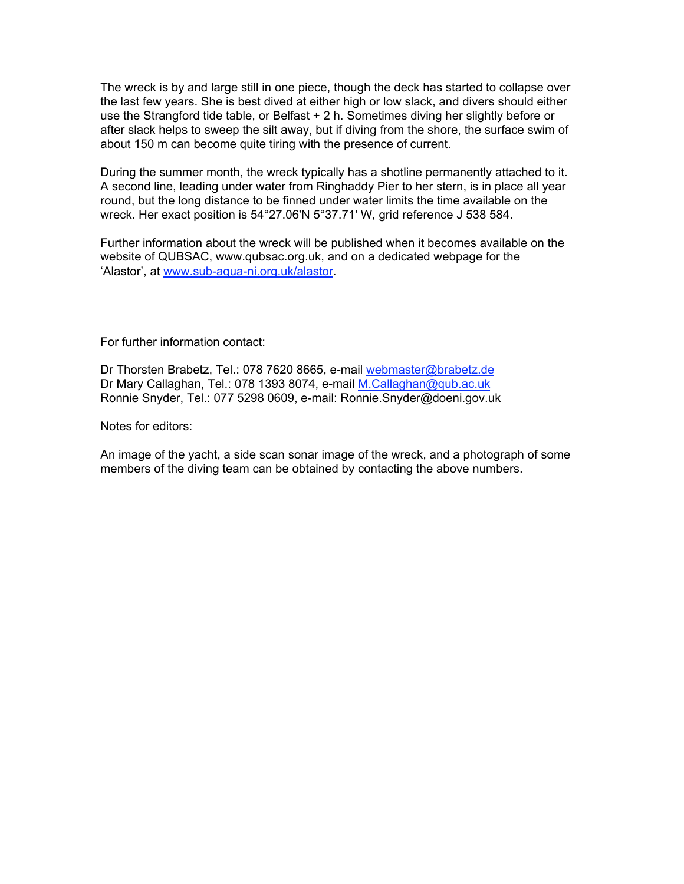The wreck is by and large still in one piece, though the deck has started to collapse over the last few years. She is best dived at either high or low slack, and divers should either use the Strangford tide table, or Belfast + 2 h. Sometimes diving her slightly before or after slack helps to sweep the silt away, but if diving from the shore, the surface swim of about 150 m can become quite tiring with the presence of current.

During the summer month, the wreck typically has a shotline permanently attached to it. A second line, leading under water from Ringhaddy Pier to her stern, is in place all year round, but the long distance to be finned under water limits the time available on the wreck. Her exact position is 54°27.06'N 5°37.71' W, grid reference J 538 584.

Further information about the wreck will be published when it becomes available on the website of QUBSAC, www.qubsac.org.uk, and on a dedicated webpage for the 'Alastor', at www.sub-aqua-ni.org.uk/alastor.

For further information contact:

Dr Thorsten Brabetz, Tel.: 078 7620 8665, e-mail webmaster@brabetz.de Dr Mary Callaghan, Tel.: 078 1393 8074, e-mail M.Callaghan@qub.ac.uk Ronnie Snyder, Tel.: 077 5298 0609, e-mail: Ronnie.Snyder@doeni.gov.uk

Notes for editors:

An image of the yacht, a side scan sonar image of the wreck, and a photograph of some members of the diving team can be obtained by contacting the above numbers.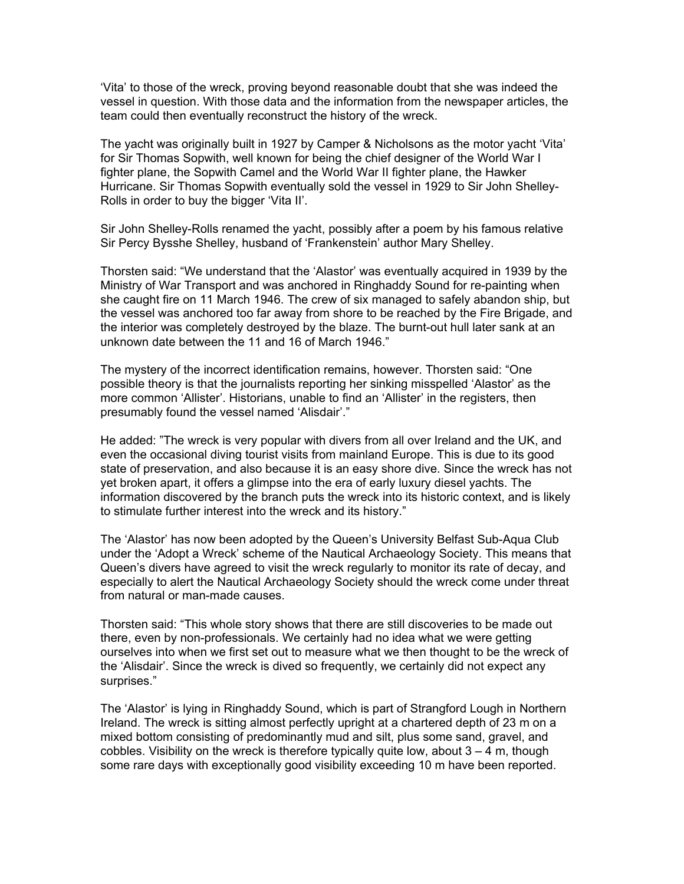'Vita' to those of the wreck, proving beyond reasonable doubt that she was indeed the vessel in question. With those data and the information from the newspaper articles, the team could then eventually reconstruct the history of the wreck.

The yacht was originally built in 1927 by Camper & Nicholsons as the motor yacht 'Vita' for Sir Thomas Sopwith, well known for being the chief designer of the World War I fighter plane, the Sopwith Camel and the World War II fighter plane, the Hawker Hurricane. Sir Thomas Sopwith eventually sold the vessel in 1929 to Sir John Shelley-Rolls in order to buy the bigger 'Vita II'.

Sir John Shelley-Rolls renamed the yacht, possibly after a poem by his famous relative Sir Percy Bysshe Shelley, husband of 'Frankenstein' author Mary Shelley.

Thorsten said: "We understand that the 'Alastor' was eventually acquired in 1939 by the Ministry of War Transport and was anchored in Ringhaddy Sound for re-painting when she caught fire on 11 March 1946. The crew of six managed to safely abandon ship, but the vessel was anchored too far away from shore to be reached by the Fire Brigade, and the interior was completely destroyed by the blaze. The burnt-out hull later sank at an unknown date between the 11 and 16 of March 1946."

The mystery of the incorrect identification remains, however. Thorsten said: "One possible theory is that the journalists reporting her sinking misspelled 'Alastor' as the more common 'Allister'. Historians, unable to find an 'Allister' in the registers, then presumably found the vessel named 'Alisdair'."

He added: "The wreck is very popular with divers from all over Ireland and the UK, and even the occasional diving tourist visits from mainland Europe. This is due to its good state of preservation, and also because it is an easy shore dive. Since the wreck has not yet broken apart, it offers a glimpse into the era of early luxury diesel yachts. The information discovered by the branch puts the wreck into its historic context, and is likely to stimulate further interest into the wreck and its history."

The 'Alastor' has now been adopted by the Queen's University Belfast Sub-Aqua Club under the 'Adopt a Wreck' scheme of the Nautical Archaeology Society. This means that Queen's divers have agreed to visit the wreck regularly to monitor its rate of decay, and especially to alert the Nautical Archaeology Society should the wreck come under threat from natural or man-made causes.

Thorsten said: "This whole story shows that there are still discoveries to be made out there, even by non-professionals. We certainly had no idea what we were getting ourselves into when we first set out to measure what we then thought to be the wreck of the 'Alisdair'. Since the wreck is dived so frequently, we certainly did not expect any surprises."

The 'Alastor' is lying in Ringhaddy Sound, which is part of Strangford Lough in Northern Ireland. The wreck is sitting almost perfectly upright at a chartered depth of 23 m on a mixed bottom consisting of predominantly mud and silt, plus some sand, gravel, and cobbles. Visibility on the wreck is therefore typically quite low, about  $3 - 4$  m, though some rare days with exceptionally good visibility exceeding 10 m have been reported.